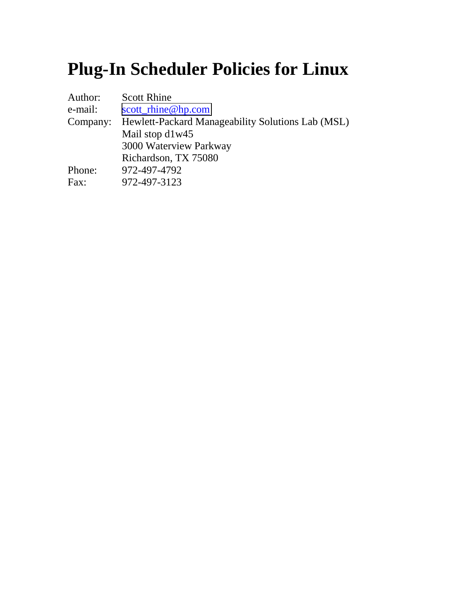# **Plug-In Scheduler Policies for Linux**

| <b>Scott Rhine</b>                                |
|---------------------------------------------------|
| scott rhine@hp.com                                |
| Hewlett-Packard Manageability Solutions Lab (MSL) |
| Mail stop d1w45                                   |
| 3000 Waterview Parkway                            |
| Richardson, TX 75080                              |
| 972-497-4792                                      |
| 972-497-3123                                      |
|                                                   |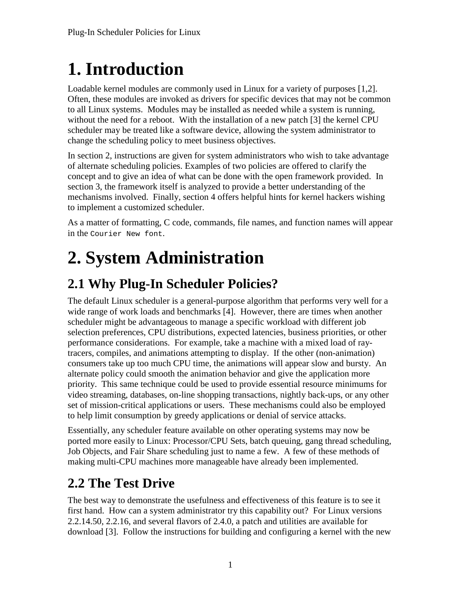# **1. Introduction**

Loadable kernel modules are commonly used in Linux for a variety of purposes [1,2]. Often, these modules are invoked as drivers for specific devices that may not be common to all Linux systems. Modules may be installed as needed while a system is running, without the need for a reboot. With the installation of a new patch [3] the kernel CPU scheduler may be treated like a software device, allowing the system administrator to change the scheduling policy to meet business objectives.

In section 2, instructions are given for system administrators who wish to take advantage of alternate scheduling policies. Examples of two policies are offered to clarify the concept and to give an idea of what can be done with the open framework provided. In section 3, the framework itself is analyzed to provide a better understanding of the mechanisms involved. Finally, section 4 offers helpful hints for kernel hackers wishing to implement a customized scheduler.

As a matter of formatting, C code, commands, file names, and function names will appear in the Courier New font.

# **2. System Administration**

## **2.1 Why Plug-In Scheduler Policies?**

The default Linux scheduler is a general-purpose algorithm that performs very well for a wide range of work loads and benchmarks [4]. However, there are times when another scheduler might be advantageous to manage a specific workload with different job selection preferences, CPU distributions, expected latencies, business priorities, or other performance considerations. For example, take a machine with a mixed load of raytracers, compiles, and animations attempting to display. If the other (non-animation) consumers take up too much CPU time, the animations will appear slow and bursty. An alternate policy could smooth the animation behavior and give the application more priority. This same technique could be used to provide essential resource minimums for video streaming, databases, on-line shopping transactions, nightly back-ups, or any other set of mission-critical applications or users. These mechanisms could also be employed to help limit consumption by greedy applications or denial of service attacks.

Essentially, any scheduler feature available on other operating systems may now be ported more easily to Linux: Processor/CPU Sets, batch queuing, gang thread scheduling, Job Objects, and Fair Share scheduling just to name a few. A few of these methods of making multi-CPU machines more manageable have already been implemented.

## **2.2 The Test Drive**

The best way to demonstrate the usefulness and effectiveness of this feature is to see it first hand. How can a system administrator try this capability out? For Linux versions 2.2.14.50, 2.2.16, and several flavors of 2.4.0, a patch and utilities are available for download [3]. Follow the instructions for building and configuring a kernel with the new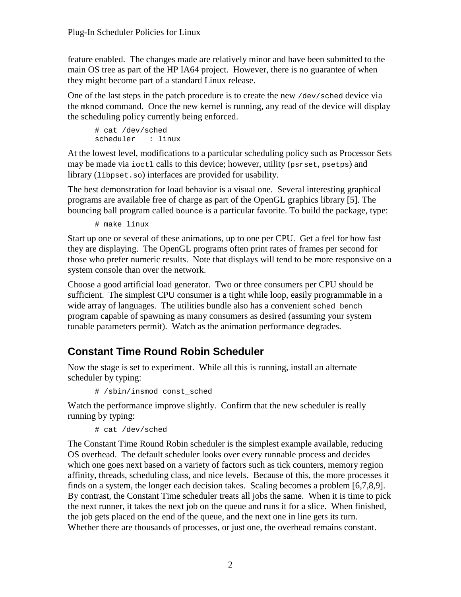feature enabled. The changes made are relatively minor and have been submitted to the main OS tree as part of the HP IA64 project. However, there is no guarantee of when they might become part of a standard Linux release.

One of the last steps in the patch procedure is to create the new /dev/sched device via the mknod command. Once the new kernel is running, any read of the device will display the scheduling policy currently being enforced.

```
# cat /dev/sched
scheduler : linux
```
At the lowest level, modifications to a particular scheduling policy such as Processor Sets may be made via ioctl calls to this device; however, utility (psrset, psetps) and library (libpset.so) interfaces are provided for usability.

The best demonstration for load behavior is a visual one. Several interesting graphical programs are available free of charge as part of the OpenGL graphics library [5]. The bouncing ball program called bounce is a particular favorite. To build the package, type:

# make linux

Start up one or several of these animations, up to one per CPU. Get a feel for how fast they are displaying. The OpenGL programs often print rates of frames per second for those who prefer numeric results. Note that displays will tend to be more responsive on a system console than over the network.

Choose a good artificial load generator. Two or three consumers per CPU should be sufficient. The simplest CPU consumer is a tight while loop, easily programmable in a wide array of languages. The utilities bundle also has a convenient sched bench program capable of spawning as many consumers as desired (assuming your system tunable parameters permit). Watch as the animation performance degrades.

#### **Constant Time Round Robin Scheduler**

Now the stage is set to experiment. While all this is running, install an alternate scheduler by typing:

# /sbin/insmod const\_sched

Watch the performance improve slightly. Confirm that the new scheduler is really running by typing:

# cat /dev/sched

The Constant Time Round Robin scheduler is the simplest example available, reducing OS overhead. The default scheduler looks over every runnable process and decides which one goes next based on a variety of factors such as tick counters, memory region affinity, threads, scheduling class, and nice levels. Because of this, the more processes it finds on a system, the longer each decision takes. Scaling becomes a problem [6,7,8,9]. By contrast, the Constant Time scheduler treats all jobs the same. When it is time to pick the next runner, it takes the next job on the queue and runs it for a slice. When finished, the job gets placed on the end of the queue, and the next one in line gets its turn. Whether there are thousands of processes, or just one, the overhead remains constant.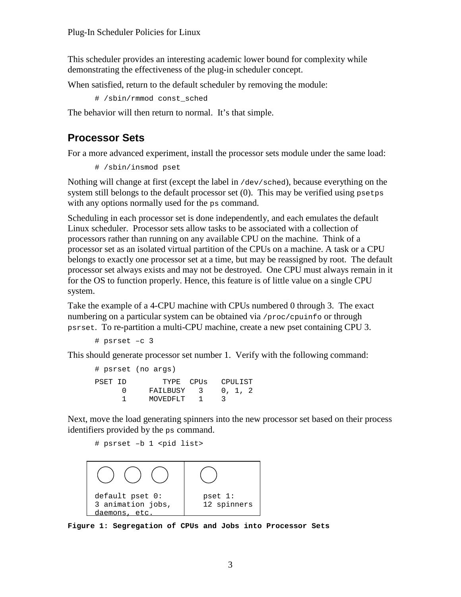This scheduler provides an interesting academic lower bound for complexity while demonstrating the effectiveness of the plug-in scheduler concept.

When satisfied, return to the default scheduler by removing the module:

# /sbin/rmmod const\_sched

The behavior will then return to normal. It's that simple.

#### **Processor Sets**

For a more advanced experiment, install the processor sets module under the same load:

```
# /sbin/insmod pset
```
Nothing will change at first (except the label in /dev/sched), because everything on the system still belongs to the default processor set (0). This may be verified using psetps with any options normally used for the ps command.

Scheduling in each processor set is done independently, and each emulates the default Linux scheduler. Processor sets allow tasks to be associated with a collection of processors rather than running on any available CPU on the machine. Think of a processor set as an isolated virtual partition of the CPUs on a machine. A task or a CPU belongs to exactly one processor set at a time, but may be reassigned by root. The default processor set always exists and may not be destroyed. One CPU must always remain in it for the OS to function properly. Hence, this feature is of little value on a single CPU system.

Take the example of a 4-CPU machine with CPUs numbered 0 through 3. The exact numbering on a particular system can be obtained via  $/$ proc/cpuinfo or through psrset. To re-partition a multi-CPU machine, create a new pset containing CPU 3.

```
# psrset –c 3
```
This should generate processor set number 1. Verify with the following command:

```
# psrset (no args)
PSET ID TYPE CPUS CPULIST
     0 FAILBUSY 3 0, 1, 2<br>1 MOVEDFLT 1 3
           MOVEDFLT 1 3
```
Next, move the load generating spinners into the new processor set based on their process identifiers provided by the ps command.

```
# psrset -b 1 <pid list>
```


**Figure 1: Segregation of CPUs and Jobs into Processor Sets**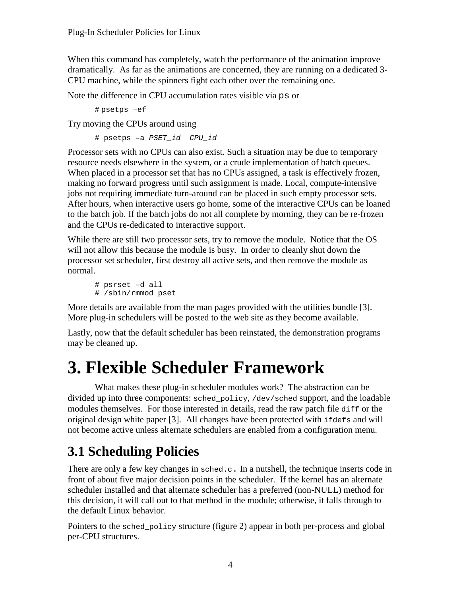When this command has completely, watch the performance of the animation improve dramatically. As far as the animations are concerned, they are running on a dedicated 3- CPU machine, while the spinners fight each other over the remaining one.

Note the difference in CPU accumulation rates visible via ps or

# psetps –ef

Try moving the CPUs around using

# psetps –a PSET\_id CPU\_id

Processor sets with no CPUs can also exist. Such a situation may be due to temporary resource needs elsewhere in the system, or a crude implementation of batch queues. When placed in a processor set that has no CPUs assigned, a task is effectively frozen, making no forward progress until such assignment is made. Local, compute-intensive jobs not requiring immediate turn-around can be placed in such empty processor sets. After hours, when interactive users go home, some of the interactive CPUs can be loaned to the batch job. If the batch jobs do not all complete by morning, they can be re-frozen and the CPUs re-dedicated to interactive support.

While there are still two processor sets, try to remove the module. Notice that the OS will not allow this because the module is busy. In order to cleanly shut down the processor set scheduler, first destroy all active sets, and then remove the module as normal.

```
# psrset –d all
# /sbin/rmmod pset
```
More details are available from the man pages provided with the utilities bundle [3]. More plug-in schedulers will be posted to the web site as they become available.

Lastly, now that the default scheduler has been reinstated, the demonstration programs may be cleaned up.

## **3. Flexible Scheduler Framework**

What makes these plug-in scheduler modules work? The abstraction can be divided up into three components: sched\_policy, /dev/sched support, and the loadable modules themselves. For those interested in details, read the raw patch file diff or the original design white paper [3]. All changes have been protected with ifdefs and will not become active unless alternate schedulers are enabled from a configuration menu.

## **3.1 Scheduling Policies**

There are only a few key changes in  $\text{sehed.c.}$  In a nutshell, the technique inserts code in front of about five major decision points in the scheduler. If the kernel has an alternate scheduler installed and that alternate scheduler has a preferred (non-NULL) method for this decision, it will call out to that method in the module; otherwise, it falls through to the default Linux behavior.

Pointers to the sched\_policy structure (figure 2) appear in both per-process and global per-CPU structures.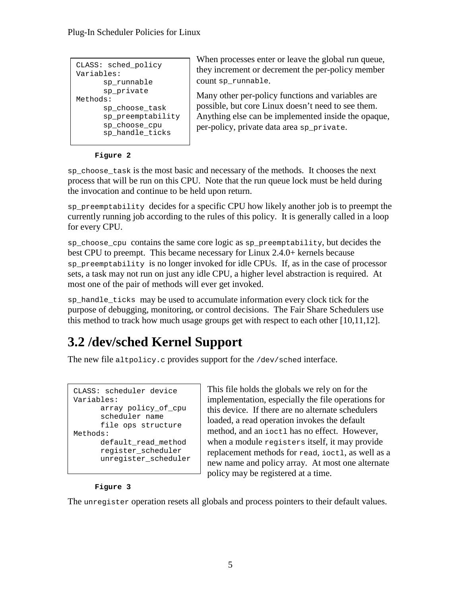| CLASS: sched policy<br>Variables: |
|-----------------------------------|
| sp runnable                       |
| sp private                        |
| Methods:                          |
| sp choose task                    |
| sp_preemptability                 |
| sp choose cpu<br>sp handle ticks  |

When processes enter or leave the global run queue, they increment or decrement the per-policy member count sp\_runnable.

Many other per-policy functions and variables are possible, but core Linux doesn't need to see them. Anything else can be implemented inside the opaque, per-policy, private data area sp\_private.

#### **Figure 2**

sp\_choose\_task is the most basic and necessary of the methods. It chooses the next process that will be run on this CPU. Note that the run queue lock must be held during the invocation and continue to be held upon return.

sp preemptability decides for a specific CPU how likely another job is to preempt the currently running job according to the rules of this policy. It is generally called in a loop for every CPU.

sp choose cpu contains the same core logic as sp preemptability, but decides the best CPU to preempt. This became necessary for Linux 2.4.0+ kernels because sp\_preemptability is no longer invoked for idle CPUs. If, as in the case of processor sets, a task may not run on just any idle CPU, a higher level abstraction is required. At most one of the pair of methods will ever get invoked.

sp\_handle\_ticks may be used to accumulate information every clock tick for the purpose of debugging, monitoring, or control decisions. The Fair Share Schedulers use this method to track how much usage groups get with respect to each other  $[10,11,12]$ .

## **3.2 /dev/sched Kernel Support**

The new file altpolicy.c provides support for the /dev/sched interface.

```
CLASS: scheduler device
Variables:
      array policy_of_cpu
      scheduler name
      file ops structure
Methods:
      default_read_method
      register_scheduler
      unregister_scheduler
```
This file holds the globals we rely on for the implementation, especially the file operations for this device. If there are no alternate schedulers loaded, a read operation invokes the default method, and an ioctl has no effect. However, when a module registers itself, it may provide replacement methods for read, ioctl, as well as a new name and policy array. At most one alternate policy may be registered at a time.

#### **Figure 3**

The unregister operation resets all globals and process pointers to their default values.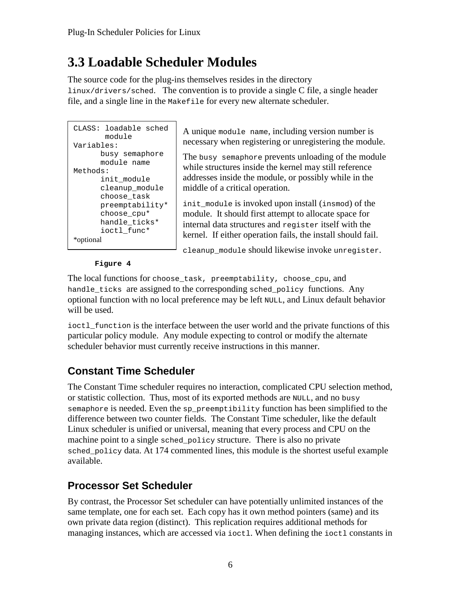## **3.3 Loadable Scheduler Modules**

The source code for the plug-ins themselves resides in the directory linux/drivers/sched. The convention is to provide a single C file, a single header file, and a single line in the Makefile for every new alternate scheduler.

```
CLASS: loadable sched
        module
Variables:
     busy semaphore
     module name
Methods:
      init_module
      cleanup_module
      choose_task
      preemptability*
      choose_cpu*
      handle_ticks*
      ioctl_func*
*optional
```
A unique module name, including version number is necessary when registering or unregistering the module.

The busy semaphore prevents unloading of the module while structures inside the kernel may still reference addresses inside the module, or possibly while in the middle of a critical operation.

init\_module is invoked upon install (insmod) of the module. It should first attempt to allocate space for internal data structures and register itself with the kernel. If either operation fails, the install should fail.

cleanup\_module should likewise invoke unregister.

#### **Figure 4**

The local functions for choose\_task, preemptability, choose\_cpu, and handle\_ticks are assigned to the corresponding sched\_policy functions. Any optional function with no local preference may be left NULL, and Linux default behavior will be used.

ioctl function is the interface between the user world and the private functions of this particular policy module. Any module expecting to control or modify the alternate scheduler behavior must currently receive instructions in this manner.

#### **Constant Time Scheduler**

The Constant Time scheduler requires no interaction, complicated CPU selection method, or statistic collection. Thus, most of its exported methods are NULL, and no busy semaphore is needed. Even the sp\_preemptibility function has been simplified to the difference between two counter fields. The Constant Time scheduler, like the default Linux scheduler is unified or universal, meaning that every process and CPU on the machine point to a single sched policy structure. There is also no private sched\_policy data. At 174 commented lines, this module is the shortest useful example available.

#### **Processor Set Scheduler**

By contrast, the Processor Set scheduler can have potentially unlimited instances of the same template, one for each set. Each copy has it own method pointers (same) and its own private data region (distinct). This replication requires additional methods for managing instances, which are accessed via ioctl. When defining the ioctl constants in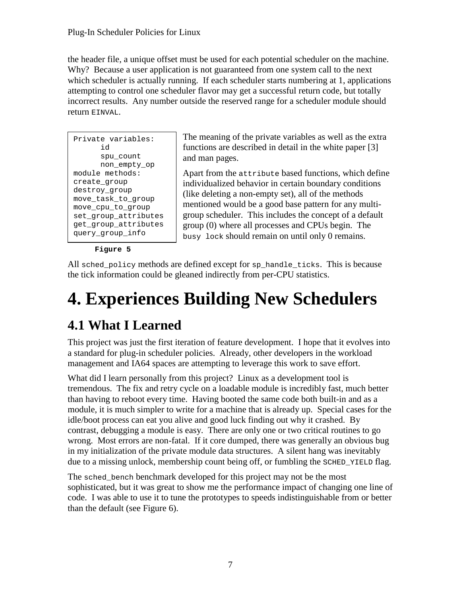the header file, a unique offset must be used for each potential scheduler on the machine. Why? Because a user application is not guaranteed from one system call to the next which scheduler is actually running. If each scheduler starts numbering at 1, applications attempting to control one scheduler flavor may get a successful return code, but totally incorrect results. Any number outside the reserved range for a scheduler module should return EINVAL.

| Private variables:<br>'nd                    |
|----------------------------------------------|
| spu count<br>non empty op                    |
| module methods:                              |
| create group<br>destroy group                |
| move_task_to_group<br>move cpu to group      |
| set_group_attributes<br>get_group_attributes |
| query group info                             |

The meaning of the private variables as well as the extra functions are described in detail in the white paper [3] and man pages.

Apart from the attribute based functions, which define individualized behavior in certain boundary conditions (like deleting a non-empty set), all of the methods mentioned would be a good base pattern for any multigroup scheduler. This includes the concept of a default group (0) where all processes and CPUs begin. The busy lock should remain on until only 0 remains.

**Figure 5**

All sched\_policy methods are defined except for sp\_handle\_ticks. This is because the tick information could be gleaned indirectly from per-CPU statistics.

# **4. Experiences Building New Schedulers**

## **4.1 What I Learned**

This project was just the first iteration of feature development. I hope that it evolves into a standard for plug-in scheduler policies. Already, other developers in the workload management and IA64 spaces are attempting to leverage this work to save effort.

What did I learn personally from this project? Linux as a development tool is tremendous. The fix and retry cycle on a loadable module is incredibly fast, much better than having to reboot every time. Having booted the same code both built-in and as a module, it is much simpler to write for a machine that is already up. Special cases for the idle/boot process can eat you alive and good luck finding out why it crashed. By contrast, debugging a module is easy. There are only one or two critical routines to go wrong. Most errors are non-fatal. If it core dumped, there was generally an obvious bug in my initialization of the private module data structures. A silent hang was inevitably due to a missing unlock, membership count being off, or fumbling the SCHED\_YIELD flag.

The sched bench benchmark developed for this project may not be the most sophisticated, but it was great to show me the performance impact of changing one line of code. I was able to use it to tune the prototypes to speeds indistinguishable from or better than the default (see Figure 6).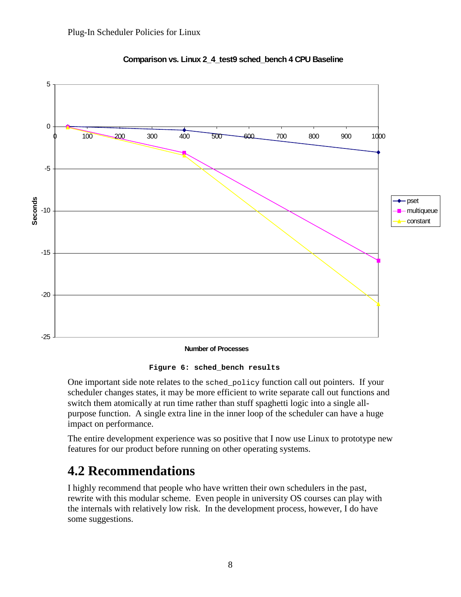

**Comparison vs. Linux 2\_4\_test9 sched\_bench 4 CPU Baseline**

**Number of Processes**

**Figure 6: sched\_bench results**

One important side note relates to the sched\_policy function call out pointers. If your scheduler changes states, it may be more efficient to write separate call out functions and switch them atomically at run time rather than stuff spaghetti logic into a single allpurpose function. A single extra line in the inner loop of the scheduler can have a huge impact on performance.

The entire development experience was so positive that I now use Linux to prototype new features for our product before running on other operating systems.

## **4.2 Recommendations**

I highly recommend that people who have written their own schedulers in the past, rewrite with this modular scheme. Even people in university OS courses can play with the internals with relatively low risk. In the development process, however, I do have some suggestions.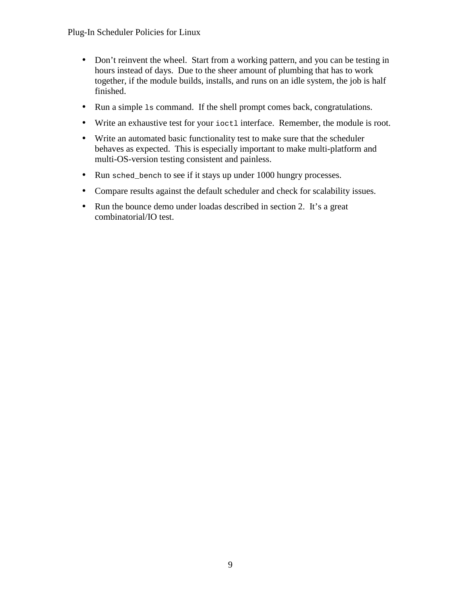- Don't reinvent the wheel. Start from a working pattern, and you can be testing in hours instead of days. Due to the sheer amount of plumbing that has to work together, if the module builds, installs, and runs on an idle system, the job is half finished.
- Run a simple 1s command. If the shell prompt comes back, congratulations.
- Write an exhaustive test for your ioctl interface. Remember, the module is root.
- Write an automated basic functionality test to make sure that the scheduler behaves as expected. This is especially important to make multi-platform and multi-OS-version testing consistent and painless.
- Run sched bench to see if it stays up under 1000 hungry processes.
- Compare results against the default scheduler and check for scalability issues.
- Run the bounce demo under loadas described in section 2. It's a great combinatorial/IO test.